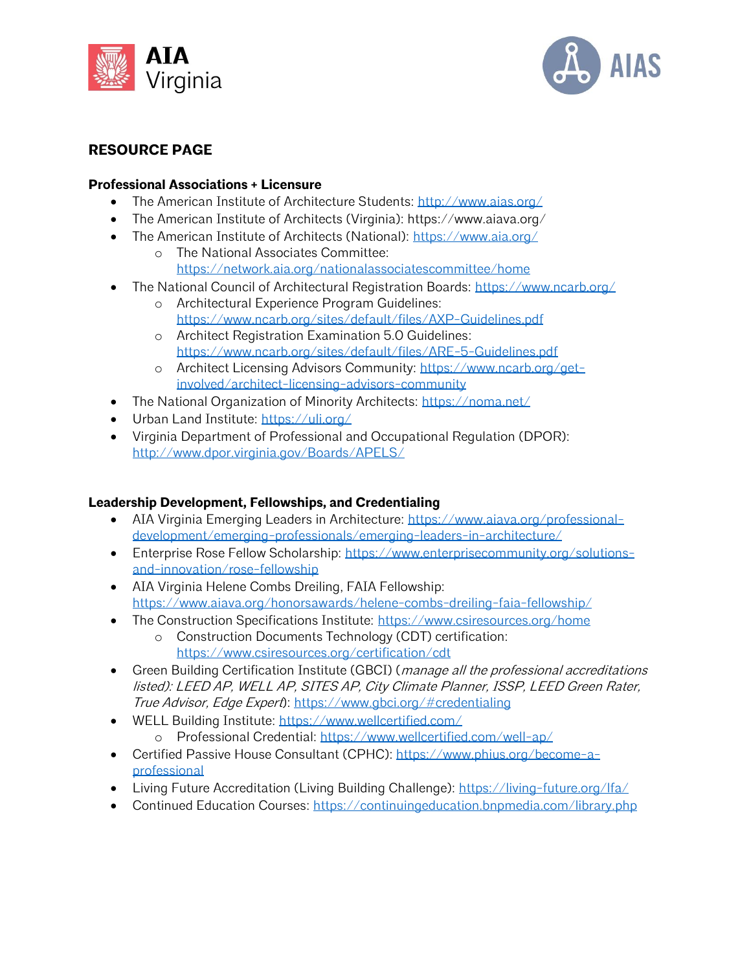



## **RESOURCE PAGE**

## **Professional Associations + Licensure**

- The American Institute of Architecture Students:<http://www.aias.org/>
- The American Institute of Architects (Virginia): https://www.aiava.org/
- The American Institute of Architects (National):<https://www.aia.org/>
	- o The National Associates Committee: <https://network.aia.org/nationalassociatescommittee/home>
- The National Council of Architectural Registration Boards:<https://www.ncarb.org/>
	- o Architectural Experience Program Guidelines: <https://www.ncarb.org/sites/default/files/AXP-Guidelines.pdf>
	- o Architect Registration Examination 5.0 Guidelines: <https://www.ncarb.org/sites/default/files/ARE-5-Guidelines.pdf>
	- o Architect Licensing Advisors Community: [https://www.ncarb.org/get](https://www.ncarb.org/get-involved/architect-licensing-advisors-community)[involved/architect-licensing-advisors-community](https://www.ncarb.org/get-involved/architect-licensing-advisors-community)
- The National Organization of Minority Architects:<https://noma.net/>
- Urban Land Institute:<https://uli.org/>
- Virginia Department of Professional and Occupational Regulation (DPOR): <http://www.dpor.virginia.gov/Boards/APELS/>

## **Leadership Development, Fellowships, and Credentialing**

- AIA Virginia Emerging Leaders in Architecture: [https://www.aiava.org/professional](https://www.aiava.org/professional-development/emerging-professionals/emerging-leaders-in-architecture/)[development/emerging-professionals/emerging-leaders-in-architecture/](https://www.aiava.org/professional-development/emerging-professionals/emerging-leaders-in-architecture/)
- Enterprise Rose Fellow Scholarship: [https://www.enterprisecommunity.org/solutions](https://www.enterprisecommunity.org/solutions-and-innovation/rose-fellowship)[and-innovation/rose-fellowship](https://www.enterprisecommunity.org/solutions-and-innovation/rose-fellowship)
- AIA Virginia Helene Combs Dreiling, FAIA Fellowship: <https://www.aiava.org/honorsawards/helene-combs-dreiling-faia-fellowship/>
- The Construction Specifications Institute:<https://www.csiresources.org/home>
	- o Construction Documents Technology (CDT) certification: <https://www.csiresources.org/certification/cdt>
- Green Building Certification Institute (GBCI) (*manage all the professional accreditations* listed): LEED AP, WELL AP, SITES AP, City Climate Planner, ISSP, LEED Green Rater, True Advisor, Edge Expert):<https://www.gbci.org/#credentialing>
- WELL Building Institute:<https://www.wellcertified.com/> o Professional Credential:<https://www.wellcertified.com/well-ap/>
- Certified Passive House Consultant (CPHC): [https://www.phius.org/become-a](https://www.phius.org/become-a-professional)[professional](https://www.phius.org/become-a-professional)
- Living Future Accreditation (Living Building Challenge):<https://living-future.org/lfa/>
- Continued Education Courses:<https://continuingeducation.bnpmedia.com/library.php>